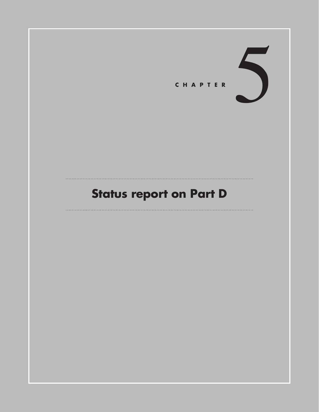

# **Status report on Part D**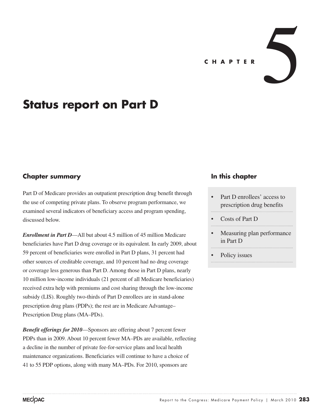# **Status report on Part D**

## **Chapter summary**

Part D of Medicare provides an outpatient prescription drug benefit through the use of competing private plans. To observe program performance, we examined several indicators of beneficiary access and program spending, discussed below.

*Enrollment in Part D*—All but about 4.5 million of 45 million Medicare beneficiaries have Part D drug coverage or its equivalent. In early 2009, about 59 percent of beneficiaries were enrolled in Part D plans, 31 percent had other sources of creditable coverage, and 10 percent had no drug coverage or coverage less generous than Part D. Among those in Part D plans, nearly 10 million low-income individuals (21 percent of all Medicare beneficiaries) received extra help with premiums and cost sharing through the low-income subsidy (LIS). Roughly two-thirds of Part D enrollees are in stand-alone prescription drug plans (PDPs); the rest are in Medicare Advantage– Prescription Drug plans (MA–PDs).

*Benefit offerings for 2010*—Sponsors are offering about 7 percent fewer PDPs than in 2009. About 10 percent fewer MA–PDs are available, reflecting a decline in the number of private fee-for-service plans and local health maintenance organizations. Beneficiaries will continue to have a choice of 41 to 55 PDP options, along with many MA–PDs. For 2010, sponsors are

### **In this chapter**

- Part D enrollees' access to prescription drug benefits
- Costs of Part D
- Measuring plan performance in Part D
- Policy issues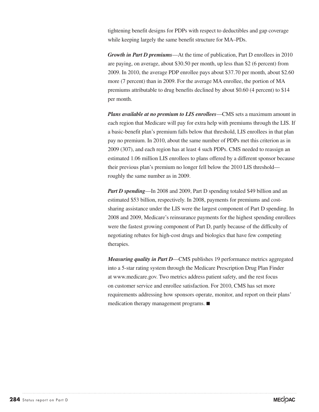tightening benefit designs for PDPs with respect to deductibles and gap coverage while keeping largely the same benefit structure for MA–PDs.

*Growth in Part D premiums*—At the time of publication, Part D enrollees in 2010 are paying, on average, about \$30.50 per month, up less than \$2 (6 percent) from 2009. In 2010, the average PDP enrollee pays about \$37.70 per month, about \$2.60 more (7 percent) than in 2009. For the average MA enrollee, the portion of MA premiums attributable to drug benefits declined by about \$0.60 (4 percent) to \$14 per month.

*Plans available at no premium to LIS enrollees*—CMS sets a maximum amount in each region that Medicare will pay for extra help with premiums through the LIS. If a basic-benefit plan's premium falls below that threshold, LIS enrollees in that plan pay no premium. In 2010, about the same number of PDPs met this criterion as in 2009 (307), and each region has at least 4 such PDPs. CMS needed to reassign an estimated 1.06 million LIS enrollees to plans offered by a different sponsor because their previous plan's premium no longer fell below the 2010 LIS threshold roughly the same number as in 2009.

*Part D spending***—In** 2008 and 2009, Part D spending totaled \$49 billion and an estimated \$53 billion, respectively. In 2008, payments for premiums and costsharing assistance under the LIS were the largest component of Part D spending. In 2008 and 2009, Medicare's reinsurance payments for the highest spending enrollees were the fastest growing component of Part D, partly because of the difficulty of negotiating rebates for high-cost drugs and biologics that have few competing therapies.

*Measuring quality in Part D*—CMS publishes 19 performance metrics aggregated into a 5-star rating system through the Medicare Prescription Drug Plan Finder at www.medicare.gov. Two metrics address patient safety, and the rest focus on customer service and enrollee satisfaction. For 2010, CMS has set more requirements addressing how sponsors operate, monitor, and report on their plans' medication therapy management programs. ■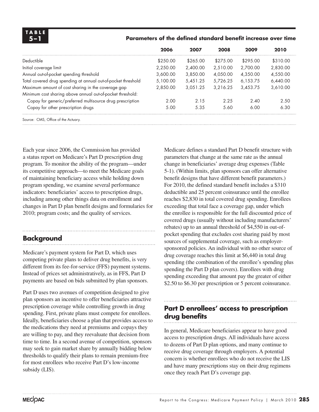**T A B L E**

#### **5 –1 Parameters of the defined standard benefit increase over time**

|                                                               | 2006     | 2007     | 2008     | 2009     | 2010     |
|---------------------------------------------------------------|----------|----------|----------|----------|----------|
| Deductible                                                    | \$250.00 | \$265.00 | \$275.00 | \$295.00 | \$310.00 |
| Initial coverage limit                                        | 2,250.00 | 2,400.00 | 2,510.00 | 2.700.00 | 2,830.00 |
| Annual out-of-pocket spending threshold                       | 3,600.00 | 3,850.00 | 4.050.00 | 4.350.00 | 4,550.00 |
| Total covered drug spending at annual out-of-pocket threshold | 5,100.00 | 5,451.25 | 5,726.25 | 6,153.75 | 6.440.00 |
| Maximum amount of cost sharing in the coverage gap            | 2.850.00 | 3.051.25 | 3.216.25 | 3.453.75 | 3,610.00 |
| Minimum cost sharing above annual out-of-pocket threshold:    |          |          |          |          |          |
| Copay for generic/preferred multisource drug prescription     | 2.00     | 2.15     | 2.25     | 2.40     | 2.50     |
| Copay for other prescription drugs                            | 5.00     | 5.35     | 5.60     | 6.00     | 6.30     |
| Source: CMS, Office of the Actuary.                           |          |          |          |          |          |

Each year since 2006, the Commission has provided a status report on Medicare's Part D prescription drug program. To monitor the ability of the program—under its competitive approach—to meet the Medicare goals of maintaining beneficiary access while holding down program spending, we examine several performance indicators: beneficiaries' access to prescription drugs, including among other things data on enrollment and changes in Part D plan benefit designs and formularies for 2010; program costs; and the quality of services.

## **Background**

Medicare's payment system for Part D, which uses competing private plans to deliver drug benefits, is very different from its fee-for-service (FFS) payment systems. Instead of prices set administratively, as in FFS, Part D payments are based on bids submitted by plan sponsors.

Part D uses two avenues of competition designed to give plan sponsors an incentive to offer beneficiaries attractive prescription coverage while controlling growth in drug spending. First, private plans must compete for enrollees. Ideally, beneficiaries choose a plan that provides access to the medications they need at premiums and copays they are willing to pay, and they reevaluate that decision from time to time. In a second avenue of competition, sponsors may seek to gain market share by annually bidding below thresholds to qualify their plans to remain premium-free for most enrollees who receive Part D's low-income subsidy (LIS).

Medicare defines a standard Part D benefit structure with parameters that change at the same rate as the annual change in beneficiaries' average drug expenses (Table 5-1). (Within limits, plan sponsors can offer alternative benefit designs that have different benefit parameters.) For 2010, the defined standard benefit includes a \$310 deductible and 25 percent coinsurance until the enrollee reaches \$2,830 in total covered drug spending. Enrollees exceeding that total face a coverage gap, under which the enrollee is responsible for the full discounted price of covered drugs (usually without including manufacturers' rebates) up to an annual threshold of \$4,550 in out-ofpocket spending that excludes cost sharing paid by most sources of supplemental coverage, such as employersponsored policies. An individual with no other source of drug coverage reaches this limit at \$6,440 in total drug spending (the combination of the enrollee's spending plus spending the Part D plan covers). Enrollees with drug spending exceeding that amount pay the greater of either \$2.50 to \$6.30 per prescription or 5 percent coinsurance.

# **Part D enrollees' access to prescription drug benefits**

In general, Medicare beneficiaries appear to have good access to prescription drugs. All individuals have access to dozens of Part D plan options, and many continue to receive drug coverage through employers. A potential concern is whether enrollees who do not receive the LIS and have many prescriptions stay on their drug regimens once they reach Part D's coverage gap.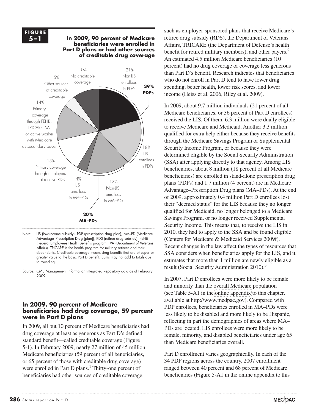#### **F I G U R E FIGURE 5–1**



Note: LIS (low-income subsidy), PDP (prescription drug plan), MA–PD (Medicare Advantage–Prescription Drug [plan]), RDS (retiree drug subsidy), FEHB (Federal Employees Health Benefits program), VA (Department of Veterans Affairs). TRICARE is the health program for military retirees and their dependents. Creditable coverage means drug benefits that are of equal or greater value to the basic Part D benefit. Sums may not add to totals due to rounding.

Source: CMS Management Information Integrated Repository data as of February 2009.

#### **In 2009, 90 percent of Medicare beneficiaries had drug coverage, 59 percent were in Part D plans**

In 2009, all but 10 percent of Medicare beneficiaries had drug coverage at least as generous as Part D's defined standard benefit—called creditable coverage (Figure 5-1). In February 2009, nearly 27 million of 45 million Medicare beneficiaries (59 percent of all beneficiaries, or 65 percent of those with creditable drug coverage) were enrolled in Part D plans.<sup>1</sup> Thirty-one percent of beneficiaries had other sources of creditable coverage,

such as employer-sponsored plans that receive Medicare's retiree drug subsidy (RDS), the Department of Veterans Affairs, TRICARE (the Department of Defense's health benefit for retired military members), and other payers.<sup>2</sup> An estimated 4.5 million Medicare beneficiaries (10 percent) had no drug coverage or coverage less generous than Part D's benefit. Research indicates that beneficiaries who do not enroll in Part D tend to have lower drug spending, better health, lower risk scores, and lower income (Heiss et al. 2006, Riley et al. 2009).

In 2009, about 9.7 million individuals (21 percent of all Medicare beneficiaries, or 36 percent of Part D enrollees) received the LIS. Of them, 6.3 million were dually eligible to receive Medicare and Medicaid. Another 3.3 million qualified for extra help either because they receive benefits through the Medicare Savings Program or Supplemental Security Income Program, or because they were determined eligible by the Social Security Administration (SSA) after applying directly to that agency. Among LIS beneficiaries, about 8 million (18 percent of all Medicare beneficiaries) are enrolled in stand-alone prescription drug plans (PDPs) and 1.7 million (4 percent) are in Medicare Advantage–Prescription Drug plans (MA–PDs). At the end of 2009, approximately 0.4 million Part D enrollees lost their "deemed status" for the LIS because they no longer qualified for Medicaid, no longer belonged to a Medicare Savings Program, or no longer received Supplemental Security Income. This means that, to receive the LIS in 2010, they had to apply to the SSA and be found eligible (Centers for Medicare & Medicaid Services 2009f). Recent changes in the law affect the types of resources that SSA considers when beneficiaries apply for the LIS, and it estimates that more than 1 million are newly eligible as a result (Social Security Administration 2010).<sup>3</sup>

In 2007, Part D enrollees were more likely to be female and minority than the overall Medicare population (see Table 5-A1 in the [online appendix](http://medpac.gov/chapters/Mar10_Ch05_APPENDIX.pdf) to this chapter, available at http://www.medpac.gov). Compared with PDP enrollees, beneficiaries enrolled in MA–PDs were less likely to be disabled and more likely to be Hispanic, reflecting in part the demographics of areas where MA– PDs are located. LIS enrollees were more likely to be female, minority, and disabled beneficiaries under age 65 than Medicare beneficiaries overall.

Part D enrollment varies geographically. In each of the 34 PDP regions across the country, 2007 enrollment ranged between 40 percent and 68 percent of Medicare beneficiaries (Figure 5-A1 in the online appendix to this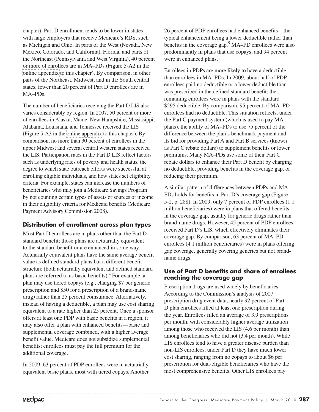chapter). Part D enrollment tends to be lower in states with large employers that receive Medicare's RDS, such as Michigan and Ohio. In parts of the West (Nevada, New Mexico, Colorado, and California), Florida, and parts of the Northeast (Pennsylvania and West Virginia), 40 percent or more of enrollees are in MA–PDs (Figure 5-A2 in the [online appendix](http://medpac.gov/chapters/Mar10_Ch05_APPENDIX.pdf) to this chapter). By comparison, in other parts of the Northeast, Midwest, and in the South central states, fewer than 20 percent of Part D enrollees are in MA–PDs.

The number of beneficiaries receiving the Part D LIS also varies considerably by region. In 2007, 50 percent or more of enrollees in Alaska, Maine, New Hampshire, Mississippi, Alabama, Louisiana, and Tennessee received the LIS (Figure 5-A3 in the [online appendix](http://medpac.gov/chapters/Mar10_Ch05_APPENDIX.pdf) to this chapter). By comparison, no more than 30 percent of enrollees in the upper Midwest and several central western states received the LIS. Participation rates in the Part D LIS reflect factors such as underlying rates of poverty and health status, the degree to which state outreach efforts were successful at enrolling eligible individuals, and how states set eligibility criteria. For example, states can increase the numbers of beneficiaries who may join a Medicare Savings Program by not counting certain types of assets or sources of income in their eligibility criteria for Medicaid benefits (Medicare Payment Advisory Commission 2008).

## **Distribution of enrollment across plan types**

Most Part D enrollees are in plans other than the Part D standard benefit; those plans are actuarially equivalent to the standard benefit or are enhanced in some way. Actuarially equivalent plans have the same average benefit value as defined standard plans but a different benefit structure (both actuarially equivalent and defined standard plans are referred to as basic benefits).<sup>4</sup> For example, a plan may use tiered copays (e.g., charging \$7 per generic prescription and \$50 for a prescription of a brand-name drug) rather than 25 percent coinsurance. Alternatively, instead of having a deductible, a plan may use cost sharing equivalent to a rate higher than 25 percent. Once a sponsor offers at least one PDP with basic benefits in a region, it may also offer a plan with enhanced benefits—basic and supplemental coverage combined, with a higher average benefit value. Medicare does not subsidize supplemental benefits; enrollees must pay the full premium for the additional coverage.

In 2009, 63 percent of PDP enrollees were in actuarially equivalent basic plans, most with tiered copays. Another

26 percent of PDP enrollees had enhanced benefits—the typical enhancement being a lower deductible rather than benefits in the coverage gap.<sup>5</sup> MA–PD enrollees were also predominantly in plans that use copays, and 94 percent were in enhanced plans.

Enrollees in PDPs are more likely to have a deductible than enrollees in MA–PDs. In 2009, about half of PDP enrollees paid no deductible or a lower deductible than was prescribed in the defined standard benefit; the remaining enrollees were in plans with the standard \$295 deductible. By comparison, 95 percent of MA–PD enrollees had no deductible. This situation reflects, under the Part C payment system (which is used to pay MA plans), the ability of MA–PDs to use 75 percent of the difference between the plan's benchmark payment and its bid for providing Part A and Part B services (known as Part C rebate dollars) to supplement benefits or lower premiums. Many MA–PDs use some of their Part C rebate dollars to enhance their Part D benefit by charging no deductible, providing benefits in the coverage gap, or reducing their premium.

A similar pattern of differences between PDPs and MA-PDs holds for benefits in Part D's coverage gap (Figure 5-2, p. 288). In 2009, only 7 percent of PDP enrollees (1.1 million beneficiaries) were in plans that offered benefits in the coverage gap, usually for generic drugs rather than brand-name drugs. However, 45 percent of PDP enrollees received Part D's LIS, which effectively eliminates their coverage gap. By comparison, 63 percent of MA–PD enrollees (4.1 million beneficiaries) were in plans offering gap coverage, generally covering generics but not brandname drugs.

#### **Use of Part D benefits and share of enrollees reaching the coverage gap**

Prescription drugs are used widely by beneficiaries. According to the Commission's analysis of 2007 prescription drug event data, nearly 92 percent of Part D plan enrollees filled at least one prescription during the year. Enrollees filled an average of 3.9 prescriptions per month, with considerably higher average utilization among those who received the LIS (4.6 per month) than among beneficiaries who did not (3.4 per month). While LIS enrollees tend to have a greater disease burden than non-LIS enrollees, under Part D they have much lower cost sharing, ranging from no copays to about \$6 per prescription for dual-eligible beneficiaries who have the most comprehensive benefits. Other LIS enrollees pay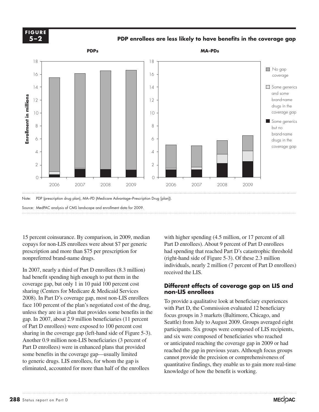

**PDP enrollees are less likely to have benefits in the coverage gap POPE**<br>POPE Enrollees and the second of the second of the second of the second of the second of the second of the second of the second of the second of the second of the second of the second of the second of the second of



15 percent coinsurance. By comparison, in 2009, median copays for non-LIS enrollees were about \$7 per generic prescription and more than \$75 per prescription for nonpreferred brand-name drugs.

In 2007, nearly a third of Part D enrollees (8.3 million) had benefit spending high enough to put them in the coverage gap, but only 1 in 10 paid 100 percent cost sharing (Centers for Medicare & Medicaid Services) 2008). In Part D's coverage gap, most non-LIS enrollees  $\tau_{\text{o, provide}}$ face 100 percent of the plan's negotiated cost of the drug, unless they are in a plan that provides some benefits in the of Part D enrollees) were exposed to 100 percent cost sharing in the coverage gap (left-hand side of Figure 5-3). Another 0.9 million non-LIS beneficiaries (3 percent of Part D enrollees) were in enhanced plans that provided or a some benefits in the coverage gap—usually limited to generic drugs. LIS enrollees, for whom the gap is eliminated, accounted for more than half of the enrollees

with higher spending (4.5 million, or 17 percent of all Part D enrollees). About 9 percent of Part D enrollees had spending that reached Part D's catastrophic threshold (right-hand side of Figure 5-3). Of these 2.3 million individuals, nearly 2 million (7 percent of Part D enrollees) received the LIS.  $\overline{\mathbf{S}}$ 

#### **Different effects of coverage gap on LIS and non-LIS enrollees**

To provide a qualitative look at beneficiary experiences with Part D, the Commission evaluated 12 beneficiary focus groups in 3 markets (Baltimore, Chicago, and Seattle) from July to August 2009. Groups averaged eight  $\mu$  be direct select to select selection to set of the black selection to select the black selection to select the black selection to select the black selection to graph participants. Six groups were composed of LIS reci and six were composed of beneficiaries who reached or anticipated reaching the coverage gap in 2009 or had reached the gap in previous years. Although focus groups cannot provide the precision or comprehensiveness of quantitative findings, they enable us to gain more real-time knowledge of how the benefit is working. gap. In 2007, about 2.9 million beneficiaries (11 percent locus groups in 3 markets (Batumore, Chicago, and groups and  $\frac{1}{2}$ 

Some generics and some brand-name drugs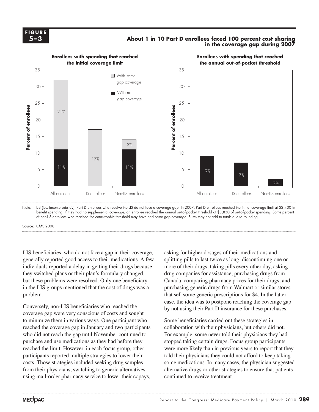

#### **About 1 in 10 Part D enrollees faced 100 percent cost sharing in the coverage gap during 2007**



Note: LIS (low-income subsidy). Part D enrollees who receive the LIS do not face a coverage gap. In 2007, Part D enrollees reached the initial coverage limit at \$2,400 in benefit spending. If they had no supplemental coverage, an enrollee reached the annual out-of-pocket threshold at \$3,850 of out-of-pocket spending. Some percent of non-LIS enrollees who reached the catastrophic threshold may have had some gap coverage. Sums may not add to totals due to rounding.

LIS beneficiaries, who do not face a gap in their coverage, generally reported good access to their medications. A few individuals reported a delay in getting their drugs because they switched plans or their plan's formulary changed, but these problems were resolved. Only one beneficiary in the LIS groups mentioned that the cost of drugs was a problem. **Note about the set of the set of the set of the set of the set of the set of the set of the set of the set of the set of the set of the set of the set of the set of the set of the set of the set of the set of the set of t** 

Conversely, non-LIS beneficiaries who reached the  $\frac{\text{case}}{\text{by not win}}$ coverage gap were very conscious of costs and sought reached the coverage gap in January and two participants who did not reach the gap until November continued to purchase and use medications as they had before they reached the limit. However, in each focus group, other were participants reported multiple strategies to lower their costs. Those strategies included seeking drug samples from their physicians, switching to generic alternatives, using mail-order pharmacy service to lower their copays,

asking for higher dosages of their medications and splitting pills to last twice as long, discontinuing one or more of their drugs, taking pills every other day, asking drug companies for assistance, purchasing drugs from Canada, comparing pharmacy prices for their drugs, and purchasing generic drugs from Walmart or similar stores that sell some generic prescriptions for \$4. In the latter case, the idea was to postpone reaching the coverage gap by not using their Part D insurance for these purchases.

Some beneficiaries carried out these strategies in collaboration with their physicians, but others did not. id not reach the gap until November continued to  $\overline{F}$  For example, some never told their physicians they had stopped taking certain drugs. Focus group participants were more likely than in previous years to report that they told their physicians they could not afford to keep taking some medications. In many cases, the physician suggested alternative drugs or other strategies to ensure that patients continued to receive treatment. to minimize them in various ways. One participant who Some beneficiaries carried out these strategies in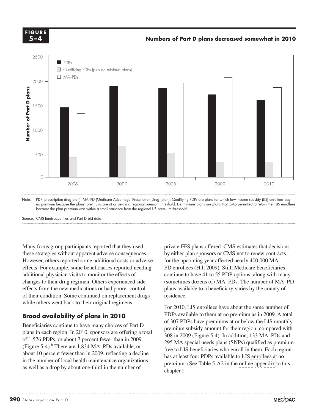**FIGURE F I G U R E 5-4 5 –4**



no premium because the plans' premiums are at or below a regional premium threshold. De minimus plans are plans that CMS permitted to retain their LIS enrollees because the plan premium was within a small variance from the regional LIS premium threshold.

Source: CMS landscape files and Part D bid data.

Many focus group participants reported that they used these strategies without apparent adverse consequences. However, others reported some additional costs or adverse effects. For example, some beneficiaries reported needing additional physician visits to monitor the effects of changes to their drug regimen. Others experienced side effects from the new medications or had poorer control plans available of their condition. Some continued on replacement drugs residence. while others went back to their original regimens.

## **Broad availability of plans in 2010**

Beneficiaries continue to have many choices of Part D  $\frac{61}{207}$  is have pich plans in each region. In 2010, sponsors are offering a total of 1,576 PDPs, or about 7 percent fewer than in 2009 (Figure 5-4).<sup>6</sup> There are 1,834 MA–PDs available, or about 10 percent fewer than in 2009, reflecting a decline  $\frac{r}{\log q}$ in the number of local health maintenance organizations  $\frac{\text{max}}{\text{norm}}$  (See Table 5-A) in the onli as well as a drop by about one-third in the number of

private FFS plans offered. CMS estimates that decisions by either plan sponsors or CMS not to renew contracts for the upcoming year affected nearly 400,000 MA– PD enrollees (Hill 2009). Still, Medicare beneficiaries continue to have 41 to 55 PDP options, along with many (sometimes dozens of) MA–PDs. The number of MA–PD plans available to a beneficiary varies by the county of residence.

For 2010, LIS enrollees have about the same number of **exail ability of plans in 2010** PDPs available to them at no premium as in 2009. A total of 307 PDPs have premiums at or below the LIS monthly premium subsidy amount for their region, compared with each region. In 2010, sponsors are offering a total  $308$  in 2009 (Figure 5-4). In addition, 133 MA–PDs and 295 MA special needs plans (SNPs) qualified as premiumfree to LIS beneficiaries who enroll in them. Each region has at least four PDPs available to LIS enrollees at no premium. (See Table 5-A2 in the [online appendix](http://medpac.gov/chapters/Mar10_Ch05_APPENDIX.pdf) to this chapter.)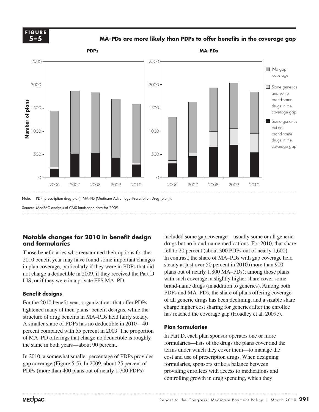

**MA–PDs are more likely than PDPs to offer benefits in the coverage gap MA-PDs are more likely.... FIGURE**



#### **Notable changes for 2010 in benefit design and formularies**

Those beneficiaries who reexamined their options for the 2010 benefit year may have found some important changes in plan coverage, particularly if they were in PDPs that did not charge a deductible in 2009, if they received the Part D LIS, or if they were in a private FFS MA–PD.

#### **Benefit designs Notes about this graph:**

For the 2010 benefit year, organizations that offer PDPs of all gener tightened many of their plans' benefit designs, while the structure of drug benefits in MA–PDs held fairly steady.  $\frac{1}{1}$  has reached the coverage gap (Hoadley et al. 2009c). A smaller share of PDPs has no deductible in 2010—40  $\alpha$  smaller share of TDT s has no deduction in 2010—40 **Plan formularies**<br>percent compared with 55 percent in 2009. The proportion of MA–PD offerings that charge no deductible is roughly the same in both years—about 90 percent. form

In 2010, a somewhat smaller percentage of PDPs provides gap coverage (Figure 5-5). In 2009, about 25 percent of PDPs (more than 400 plans out of nearly 1,700 PDPs)

included some gap coverage—usually some or all generic drugs but no brand-name medications. For 2010, that share fell to 20 percent (about 300 PDPs out of nearly 1,600). In contrast, the share of MA–PDs with gap coverage held steady at just over 50 percent in 2010 (more than 900 plans out of nearly 1,800 MA–PDs); among those plans with such coverage, a slightly higher share cover some brand-name drugs (in addition to generics). Among both PDPs and MA–PDs, the share of plans offering coverage of all generic drugs has been declining, and a sizable share charge higher cost sharing for generics after the enrollee has reached the coverage gap (Hoadley et al. 2009c). Some generics but no brand-name drugs Some generics and some brand-name drugs

#### **Plan formularies**

In Part D, each plan sponsor operates one or more formularies—lists of the drugs the plans cover and the terms under which they cover them—to manage the cost and use of prescription drugs. When designing formularies, sponsors strike a balance between providing enrollees with access to medications and controlling growth in drug spending, which they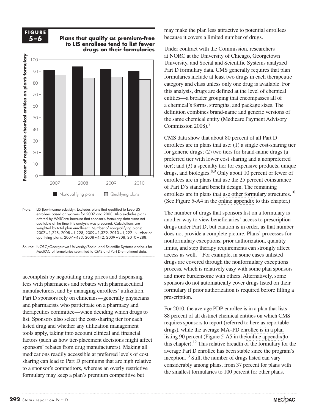#### **F I G U R E 5-6**

#### **5-6 Plans that qualify as premium-free to LIS enrollees tend to list fewer drugs on their formularies**



Note: LIS (low-income subsidy). Excludes plans that qualified to keep LIS enrollees based on waivers for 2007 and 2008. Also excludes plans offered by WellCare because that sponsor's formulary data were not available at the time this analysis was prepared. Calculations are weighted by total plan enrollment. Number of nonqualifying plans: 2007=1,228, 2008=1,228, 2009=1,379, 2010=1,222. Number of qualifying plans: 2007=483, 2008=442, 2009=308, 2010=288.

.<br>Source: NORC/Georgetown University/Social and Scientific Systems analysis for MedPAC of formularies submitted to CMS and Part D enrollment data.

accomplish by negotiating drug prices and dispensing fees with pharmacies and rebates with pharmaceutical manufacturers, and by managing enrollees' utilization. Part D sponsors rely on clinicians—generally physicians prescriptions and pharmacists who participate on a pharmacy and therapeutics committee—when deciding which drugs to list. Sponsors also select the cost-sharing tier for each listed drug and whether any utilization management tools apply, taking into account clinical and financial factors (such as how tier-placement decisions might affect sponsors' rebates from drug manufacturers). Making all medications readily accessible at preferred levels of cost sharing can lead to Part D premiums that are high relative to a sponsor's competitors, whereas an overly restrictive formulary may keep a plan's premium competitive but

may make the plan less attractive to potential enrollees because it covers a limited number of drugs.

Under contract with the Commission, researchers at NORC at the University of Chicago, Georgetown University, and Social and Scientific Systems analyzed Part D formulary data. CMS generally requires that plan formularies include at least two drugs in each therapeutic category and class unless only one drug is available. For this analysis, drugs are defined at the level of chemical entities—a broader grouping that encompasses all of a chemical's forms, strengths, and package sizes. The definition combines brand-name and generic versions of the same chemical entity (Medicare Payment Advisory Commission 2008).<sup>7</sup>

CMS data show that about 80 percent of all Part D enrollees are in plans that use: (1) a single cost-sharing tier for generic drugs; (2) two tiers for brand-name drugs (a preferred tier with lower cost sharing and a nonpreferred tier); and (3) a specialty tier for expensive products, unique drugs, and biologics. $8,9$  Only about 10 percent or fewer of enrollees are in plans that use the 25 percent coinsurance of Part D's standard benefit design. The remaining enrollees are in plans that use other formulary structures.<sup>10</sup> (See Figure 5-A4 in the [online appendix](http://medpac.gov/chapters/Mar10_Ch05_APPENDIX.pdf) to this chapter.)

The number of drugs that sponsors list on a formulary is another way to view beneficiaries' access to prescription drugs under Part D, but caution is in order, as that number does not provide a complete picture. Plans' processes for nonformulary exceptions, prior authorization, quantity limits, and step therapy requirements can strongly affect For formularies submitted to CMS and Part D enrollment data.<br>access as well.<sup>11</sup> For example, in some cases unlisted drugs are covered through the nonformulary exceptions process, which is relatively easy with some plan sponsors by negotiating drug prices and dispensing and more burdensome with others. Alternatively, some armacies and rebates with pharmaceutical sponsors do not automatically cover drugs listed on their formulary if prior authorization is required before filling a prescription.

> For 2010, the average PDP enrollee is in a plan that lists 88 percent of all distinct chemical entities on which CMS requires sponsors to report (referred to here as reportable drugs), while the average MA–PD enrollee is in a plan listing 90 percent (Figure 5-A5 in the [online appendix](http://medpac.gov/chapters/Mar10_Ch05_APPENDIX.pdf) to this chapter).<sup>12</sup> This relative breadth of the formulary for the average Part D enrollee has been stable since the program's inception.<sup>13</sup> Still, the number of drugs listed can vary considerably among plans, from 37 percent for plans with the smallest formularies to 100 percent for other plans.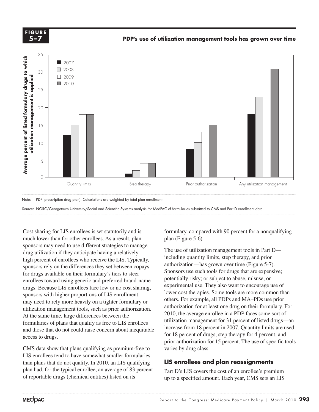



![](_page_12_Figure_3.jpeg)

Source: NORC/Georgetown University/Social and Scientific Systems analysis for MedPAC of formularies submitted to CMS and Part D enrollment data.

Cost sharing for LIS enrollees is set statutorily and is much lower than for other enrollees. As a result, plan sponsors may need to use different strategies to manage drug utilization if they anticipate having a relatively high percent of enrollees who receive the LIS. Typically, sponsors rely on the differences they set between copays for drugs available on their formulary's tiers to steer enrollees toward using generic and preferred brand-name drugs. Because LIS enrollees face low or no cost sharing, experimental sponsors with higher proportions of LIS enrollment<br>
others For example may need to rely more heavily on a tighter formulary or rangement tools, such as prior authorization. formularies of plans that qualify as free to LIS enrollees unit deleteration management and those that do not could raise concern about inequitable access to drugs.

CMS data show that plans qualifying as premium-free to LIS enrollees tend to have somewhat smaller formularies US enrollees tend to have somewhat smaller formularies than plans that do not qualify. In 2010, an LIS qualifying **LIS enrollees and plan reassi** plan had, for the typical enrollee, an average of 83 percent of reportable drugs (chemical entities) listed on its default when you change the data.

formulary, compared with 90 percent for a nonqualifying plan (Figure 5-6).

The use of utilization management tools in Part D including quantity limits, step therapy, and prior authorization—has grown over time (Figure 5-7). Sponsors use such tools for drugs that are expensive; potentially risky; or subject to abuse, misuse, or experimental use. They also want to encourage use of lower cost therapies. Some tools are more common than others. For example, all PDPs and MA–PDs use prior authorization for at least one drug on their formulary. For 2010, the average enrollee in a PDP faces some sort of utilization management for 31 percent of listed drugs—an increase from 18 percent in 2007. Quantity limits are used  $\frac{1}{2}$  for 18 percent of drugs, step therapy for 4 percent, and prior authorization for 15 percent. The use of specific tools varies by drug class. At the same time, large differences between the <sup>2010</sup>, the average enrollee in a PDP faces some sort of

## **LIS enrollees and plan reassignments**

Part D's LIS covers the cost of an enrollee's premium up to a specified amount. Each year, CMS sets an LIS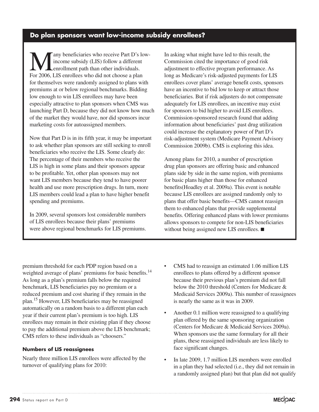## **Do plan sponsors want low-income subsidy enrollees?**

any beneficiaries who receive Part D's lowincome subsidy (LIS) follow a different enrollment path than other individuals. For 2006, LIS enrollees who did not choose a plan for themselves were randomly assigned to plans with premiums at or below regional benchmarks. Bidding low enough to win LIS enrollees may have been especially attractive to plan sponsors when CMS was launching Part D, because they did not know how much of the market they would have, nor did sponsors incur marketing costs for autoassigned members.

Now that Part D is in its fifth year, it may be important to ask whether plan sponsors are still seeking to enroll beneficiaries who receive the LIS. Some clearly do: The percentage of their members who receive the LIS is high in some plans and their sponsors appear to be profitable. Yet, other plan sponsors may not want LIS members because they tend to have poorer health and use more prescription drugs. In turn, more LIS members could lead a plan to have higher benefit spending and premiums.

In 2009, several sponsors lost considerable numbers of LIS enrollees because their plans' premiums were above regional benchmarks for LIS premiums. In asking what might have led to this result, the Commission cited the importance of good risk adjustment to effective program performance. As long as Medicare's risk-adjusted payments for LIS enrollees cover plans' average benefit costs, sponsors have an incentive to bid low to keep or attract those beneficiaries. But if risk adjusters do not compensate adequately for LIS enrollees, an incentive may exist for sponsors to bid higher to avoid LIS enrollees. Commission-sponsored research found that adding information about beneficiaries' past drug utilization could increase the explanatory power of Part D's risk-adjustment system (Medicare Payment Advisory Commission 2009b). CMS is exploring this idea.

Among plans for 2010, a number of prescription drug plan sponsors are offering basic and enhanced plans side by side in the same region, with premiums for basic plans higher than those for enhanced benefits(Hoadley et al. 2009a). This event is notable because LIS enrollees are assigned randomly only to plans that offer basic benefits—CMS cannot reassign them to enhanced plans that provide supplemental benefits. Offering enhanced plans with lower premiums allows sponsors to compete for non-LIS beneficiaries without being assigned new LIS enrollees. ■

premium threshold for each PDP region based on a weighted average of plans' premiums for basic benefits.<sup>14</sup> As long as a plan's premium falls below the required benchmark, LIS beneficiaries pay no premium or a reduced premium and cost sharing if they remain in the plan.15 However, LIS beneficiaries may be reassigned automatically on a random basis to a different plan each year if their current plan's premium is too high. LIS enrollees may remain in their existing plan if they choose to pay the additional premium above the LIS benchmark; CMS refers to these individuals as "choosers."

#### **Numbers of LIS reassignees**

Nearly three million LIS enrollees were affected by the turnover of qualifying plans for 2010:

- CMS had to reassign an estimated 1.06 million LIS enrollees to plans offered by a different sponsor because their previous plan's premium did not fall below the 2010 threshold (Centers for Medicare & Medicaid Services 2009a). This number of reassignees is nearly the same as it was in 2009.
- Another 0.1 million were reassigned to a qualifying plan offered by the same sponsoring organization (Centers for Medicare & Medicaid Services 2009a). When sponsors use the same formulary for all their plans, these reassigned individuals are less likely to face significant changes.
- In late 2009, 1.7 million LIS members were enrolled in a plan they had selected (i.e., they did not remain in a randomly assigned plan) but that plan did not qualify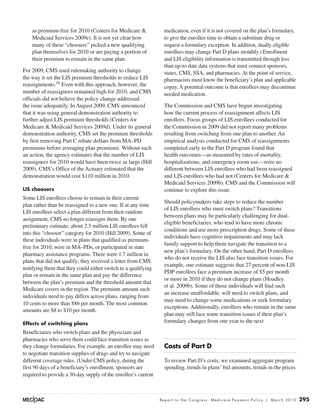as premium-free for 2010 (Centers for Medicare & Medicaid Services 2009e). It is not yet clear how many of these "choosers" picked a new qualifying plan themselves for 2010 or are paying a portion of their premium to remain in the same plan.

For 2009, CMS used rulemaking authority to change the way it set the LIS premium thresholds to reduce LIS reassignments.16 Even with this approach, however, the number of reassignees remained high for 2010, and CMS officials did not believe the policy change addressed the issue adequately. In August 2009, CMS announced that it was using general demonstration authority to further adjust LIS premium thresholds (Centers for Medicare & Medicaid Services 2009d). Under its general demonstration authority, CMS set the premium thresholds by first removing Part C rebate dollars from MA–PD premiums before averaging plan premiums. Without such an action, the agency estimates that the number of LIS reassignees for 2010 would have been twice as large (Hill 2009). CMS's Office of the Actuary estimated that the demonstration would cost \$110 million in 2010.

#### **LIS choosers**

Some LIS enrollees choose to remain in their current plan rather than be reassigned to a new one. If at any time LIS enrollees select a plan different from their random assignment, CMS no longer reassigns them. By one preliminary estimate, about 2.5 million LIS enrollees fell into this "chooser" category for 2010 (Hill 2009). Some of these individuals were in plans that qualified as premiumfree for 2010, were in MA–PDs, or participated in state pharmacy assistance programs. There were 1.7 million in plans that did not qualify; they received a letter from CMS notifying them that they could either switch to a qualifying plan or remain in the same plan and pay the difference between the plan's premium and the threshold amount that Medicare covers in the region. The premium amount such individuals need to pay differs across plans, ranging from 10 cents to more than \$86 per month. The most common amounts are \$8 to \$10 per month.

#### **Effects of switching plans**

Beneficiaries who switch plans and the physicians and pharmacies who serve them could face transition issues as they change formularies. For example, an enrollee may need to negotiate transition supplies of drugs and try to navigate different coverage rules. (Under CMS policy, during the first 90 days of a beneficiary's enrollment, sponsors are required to provide a 30-day supply of the enrollee's current

medication, even if it is not covered on the plan's formulary, to give the enrollee time to obtain a substitute drug or request a formulary exception. In addition, dually eligible enrollees may change Part D plans monthly.) Enrollment and LIS eligibility information is transmitted through less than up-to-date data systems that must connect sponsors, states, CMS, SSA, and pharmacies. At the point of service, pharmacists must know the beneficiary's plan and applicable copay. A potential outcome is that enrollees may discontinue needed medication.

The Commission and CMS have begun investigating how the current process of reassignment affects LIS enrollees. Focus groups of LIS enrollees conducted for the Commission in 2009 did not report many problems resulting from switching from one plan to another. An empirical analysis conducted for CMS of reassignments completed early in the Part D program found that health outcomes—as measured by rates of mortality, hospitalizations, and emergency room use—were no different between LIS enrollees who had been reassigned and LIS enrollees who had not (Centers for Medicare & Medicaid Services 2009b). CMS and the Commission will continue to explore this issue.

Should policymakers take steps to reduce the number of LIS enrollees who must switch plans? Transitions between plans may be particularly challenging for dualeligible beneficiaries, who tend to have more chronic conditions and use more prescription drugs. Some of these individuals have cognitive impairments and may lack family support to help them navigate the transition to a new plan's formulary. On the other hand, Part D enrollees who do not receive the LIS also face transition issues. For example, one estimate suggests that 27 percent of non-LIS PDP enrollees face a premium increase of \$5 per month or more in 2010 if they do not change plans (Hoadley et al. 2009b). Some of those individuals will find such an increase unaffordable, will need to switch plans, and may need to change some medications or seek formulary exceptions. Additionally, enrollees who remain in the same plan may still face some transition issues if their plan's formulary changes from one year to the next

## **Costs of Part D**

To review Part D's costs, we examined aggregate program spending, trends in plans' bid amounts, trends in the prices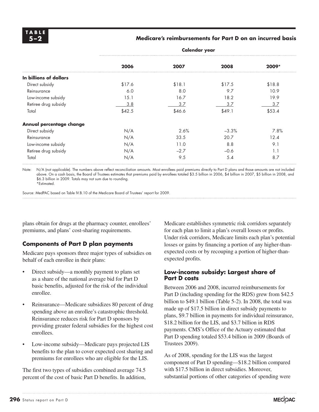#### **5 –2 Medicare's reimbursements for Part D on an incurred basis**

|                          | Calendar year |        |         |        |  |
|--------------------------|---------------|--------|---------|--------|--|
|                          | 2006          | 2007   | 2008    | 2009*  |  |
| In billions of dollars   |               |        |         |        |  |
| Direct subsidy           | \$17.6        | \$18.1 | \$17.5  | \$18.8 |  |
| Reinsurance              | 6.0           | 8.0    | 9.7     | 10.9   |  |
| Low-income subsidy       | 15.1          | 16.7   | 18.2    | 19.9   |  |
| Retiree drug subsidy     | 3.8           | 3.7    | 3.7     | 3.7    |  |
| Total                    | \$42.5        | \$46.6 | \$49.1  | \$53.4 |  |
| Annual percentage change |               |        |         |        |  |
| Direct subsidy           | N/A           | 2.6%   | $-3.3%$ | 7.8%   |  |
| Reinsurance              | N/A           | 33.5   | 20.7    | 12.4   |  |
| Low-income subsidy       | N/A           | 11.0   | 8.8     | 9.1    |  |
| Retiree drug subsidy     | N/A           | $-2.7$ | $-0.6$  | 1.1    |  |
| Total                    | N/A           | 9.5    | 5.4     | 8.7    |  |

Note: N/A (not applicable). The numbers above reflect reconciliation amounts. Most enrollees paid premiums directly to Part D plans and those amounts are not included above. On a cash basis, the Board of Trustees estimates that premiums paid by enrollees totaled \$3.5 billion in 2006, \$4 billion in 2007, \$5 billion in 2008, and \$6.3 billion in 2009. Totals may not sum due to rounding. \*Estimated.

Source: MedPAC based on Table IV.B.10 of the Medicare Board of Trustees' report for 2009.

plans obtain for drugs at the pharmacy counter, enrollees' premiums, and plans' cost-sharing requirements.

## **Components of Part D plan payments**

Medicare pays sponsors three major types of subsidies on behalf of each enrollee in their plans:

- Direct subsidy—a monthly payment to plans set as a share of the national average bid for Part D basic benefits, adjusted for the risk of the individual enrollee.
- Reinsurance—Medicare subsidizes 80 percent of drug spending above an enrollee's catastrophic threshold. Reinsurance reduces risk for Part D sponsors by providing greater federal subsidies for the highest cost enrollees.
- Low-income subsidy—Medicare pays projected LIS benefits to the plan to cover expected cost sharing and premiums for enrollees who are eligible for the LIS.

The first two types of subsidies combined average 74.5 percent of the cost of basic Part D benefits. In addition, Medicare establishes symmetric risk corridors separately for each plan to limit a plan's overall losses or profits. Under risk corridors, Medicare limits each plan's potential losses or gains by financing a portion of any higher-thanexpected costs or by recouping a portion of higher-thanexpected profits.

#### **Low-income subsidy: Largest share of Part D costs**

Between 2006 and 2008, incurred reimbursements for Part D (including spending for the RDS) grew from \$42.5 billion to \$49.1 billion (Table 5-2). In 2008, the total was made up of \$17.5 billion in direct subsidy payments to plans, \$9.7 billion in payments for individual reinsurance, \$18.2 billion for the LIS, and \$3.7 billion in RDS payments. CMS's Office of the Actuary estimated that Part D spending totaled \$53.4 billion in 2009 (Boards of Trustees 2009).

As of 2008, spending for the LIS was the largest component of Part D spending—\$18.2 billion compared with \$17.5 billion in direct subsidies. Moreover, substantial portions of other categories of spending were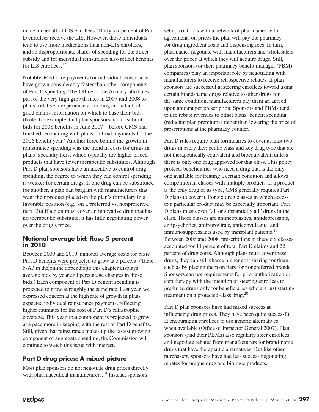made on behalf of LIS enrollees. Thirty-six percent of Part D enrollees receive the LIS. However, those individuals tend to use more medications than non-LIS enrollees, and so disproportionate shares of spending for the direct subsidy and for individual reinsurance also reflect benefits for LIS enrollees.<sup>17</sup>

Notably, Medicare payments for individual reinsurance have grown considerably faster than other components of Part D spending. The Office of the Actuary attributes part of the very high growth rates in 2007 and 2008 to plans' relative inexperience at bidding and a lack of good claims information on which to base their bids. (Note, for example, that plan sponsors had to submit bids for 2008 benefits in June 2007—before CMS had finished reconciling with plans on final payments for the 2006 benefit year.) Another force behind the growth in reinsurance spending was the trend in costs for drugs in plans' specialty tiers, which typically are higher priced products that have fewer therapeutic substitutes. Although Part D plan sponsors have an incentive to control drug spending, the degree to which they can control spending is weaker for certain drugs. If one drug can be substituted for another, a plan can bargain with manufacturers that want their product placed on the plan's formulary in a favorable position (e.g., on a preferred vs. nonpreferred tier). But if a plan must cover an innovative drug that has no therapeutic substitute, it has little negotiating power over the drug's price.

#### **National average bid: Rose 5 percent in 2010**

Between 2009 and 2010, national average costs for basic Part D benefits were projected to grow at 5 percent. (Table 5-A3 in the [online appendix](http://medpac.gov/chapters/Mar10_Ch05_APPENDIX.pdf) to this chapter displays average bids by year and percentage changes in those bids.) Each component of Part D benefit spending is projected to grow at roughly the same rate. Last year, we expressed concern at the high rate of growth in plans' expected individual reinsurance payments, reflecting higher estimates for the cost of Part D's catastrophic coverage. This year, that component is projected to grow at a pace more in keeping with the rest of Part D benefits. Still, given that reinsurance makes up the fastest growing component of aggregate spending, the Commission will continue to watch this issue with interest.

## **Part D drug prices: A mixed picture**

Most plan sponsors do not negotiate drug prices directly with pharmaceutical manufacturers.<sup>18</sup> Instead, sponsors

set up contracts with a network of pharmacies with agreements on prices the plan will pay the pharmacy for drug ingredient costs and dispensing fees. In turn, pharmacies negotiate with manufacturers and wholesalers over the prices at which they will acquire drugs. Still, plan sponsors (or their pharmacy benefit manager (PBM) companies) play an important role by negotiating with manufacturers to receive retrospective rebates. If plan sponsors are successful at steering enrollees toward using certain brand-name drugs relative to other drugs for the same condition, manufacturers pay them an agreed upon amount per prescription. Sponsors and PBMs tend to use rebate revenues to offset plans' benefit spending (reducing plan premiums) rather than lowering the price of prescriptions at the pharmacy counter.

Part D rules require plan formularies to cover at least two drugs in every therapeutic class and key drug type that are not therapeutically equivalent and bioequivalent, unless there is only one drug approved for that class. This policy protects beneficiaries who need a drug that is the only one available for treating a certain condition and allows competition in classes with multiple products. If a product is the only drug of its type, CMS generally requires Part D plans to cover it. For six drug classes in which access to a particular product may be especially important, Part D plans must cover "all or substantially all" drugs in the class. Those classes are antineoplastics, antidepressants, antipsychotics, antiretrovirals, anticonvulsants, and immunosuppressants used by transplant patients.<sup>19</sup> Between 2006 and 2008, prescriptions in these six classes accounted for 11 percent of total Part D claims and 22 percent of drug costs. Although plans must cover these drugs, they can still charge higher cost sharing for them, such as by placing them on tiers for nonpreferred brands. Sponsors can use requirements for prior authorization or step therapy with the intention of steering enrollees to preferred drugs only for beneficiaries who are just starting treatment on a protected-class drug.<sup>20</sup>

Part D plan sponsors have had mixed success at influencing drug prices. They have been quite successful at encouraging enrollees to use generic alternatives when available (Office of Inspector General 2007). Plan sponsors (and their PBMs) also regularly steer enrollees and negotiate rebates from manufacturers for brand-name drugs that have therapeutic alternatives. But like other purchasers, sponsors have had less success negotiating rebates for unique drug and biologic products.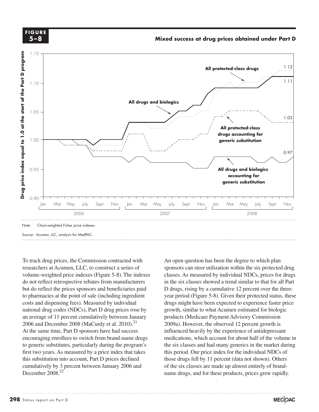![](_page_17_Figure_0.jpeg)

**Mixed success...**

![](_page_17_Figure_1.jpeg)

To track drug prices, the Commission contracted with An open q researchers at Acumen, LLC, to construct a series of sponse volume-weighted price indexes (Figure 5-8).The indexes do not reflect retrospective rebates from manufacturers but do reflect the prices sponsors and beneficiaries paid to pharmacies at the point of sale (including ingredient costs and dispensing fees). Measured by individual national drug codes (NDCs), Part D drug prices rose by  $\frac{d}{dx}$  and  $\frac{d}{dx}$  and  $\frac{d}{dx}$  and  $\frac{d}{dx}$  are  $\frac{d}{dx}$  and  $\frac{d}{dx}$  are average of 11 percent cumulatively between January 2006 and December 2008 (MaCurdy et al. 2010).<sup>21</sup> 2009a). However, the observed 1 At the same time, Part D sponsors have had success encouraging enrollees to switch from brand-name drugs to generic substitutes, particularly during the program's first two years. As measured by a price index that takes this this substitution into account, Part D prices declined cumulatively by 3 percent between January 2006 and December 2008<sup>22</sup>

An open question has been the degree to which plan sponsors can steer utilization within the six protected drug classes. As measured by individual NDCs, prices for drugs It reflect retrospective rebates from manufacturers in the six classes showed a trend similar to that for all Part o reflect the prices sponsors and beneficiaries paid  $D$  drugs, rising by a cumulative 12 percent over the threeyear period (Figure 5-8). Given their protected status, these armacies at the point of sale (including ingredient speaking the graphical conduction of sales). Measured by individual drugs might have been expected to experience faster price and different layer, included by maryland and different layer in the line in the second experience in the line<br>and drug codes (NDCs), Part D drug prices rose by growth, similar to what Acumen estimated for biologic products (Medicare Payment Advisory Commission 2009a). However, the observed 12 percent growth is e same time, Part D sponsors have had success influenced heavily by the experience of antidepressant medications, which account for about half of the volume in the six classes and had many generics in the market during this period. Our price index for the individual NDCs of those drugs fell by 11 percent (data not shown). Others of the six classes are made up almost entirely of brandname drugs, and for these products, prices grew rapidly.

**FIGURE 5-8 F I G U R E**

**5 –8**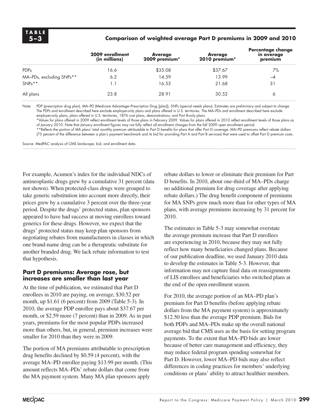#### **5 –3 Comparison of weighted average Part D premiums in 2009 and 2010**

|                          | 2009 enrollment<br>(in millions) | Average<br>*1009 premium | Average<br>2010 premium* | Percentage change<br>in average<br>premium |
|--------------------------|----------------------------------|--------------------------|--------------------------|--------------------------------------------|
| <b>PDPs</b>              | 16.6                             | \$35.08                  | \$37.67                  | 7%                                         |
| MA-PDs, excluding SNPs** | 6.2                              | 14.59                    | 13.99                    | -4                                         |
| $SNPs**$                 |                                  | 16.55                    | 21.68                    | 31                                         |
| All plans                | 23.8                             | 28.91                    | 30.52                    |                                            |

Note: PDP (prescription drug plan), MA–PD (Medicare Advantage–Prescription Drug [plan]), SNPs (special needs plans). Estimates are preliminary and subject to change. The PDPs and enrollment described here exclude employer-only plans and plans offered in U.S. territories. The MA–PDs and enrollment described here exclude employer-only plans, plans offered in U.S. territories, 1876 cost plans, demonstrations, and Part B-only plans.

\*Values for plans offered in 2009 reflect enrollment levels of those plans in February 2009. Values for plans offered in 2010 reflect enrollment levels of those plans as of January 2010. Note that January enrollment figures may not fully reflect all enrollment changes from the fall 2009 open enrollment period.

\*\*Reflects the portion of MA plans' total monthly premium attributable to Part D benefits for plans that offer Part D coverage. MA–PD premiums reflect rebate dollars (75 percent of the difference between a plan's payment benchmark and its bid for providing Part A and Part B services) that were used to offset Part D premium costs.

Source: MedPAC analysis of CMS landscape, bid, and enrollment data.

For example, Acumen's index for the individual NDCs of antineoplastic drugs grew by a cumulative 31 percent (data not shown). When protected-class drugs were grouped to take generic substitution into account more directly, their prices grew by a cumulative 3 percent over the three-year period. Despite the drugs' protected status, plan sponsors appeared to have had success at moving enrollees toward generics for these drugs. However, we expect that the drugs' protected status may keep plan sponsors from negotiating rebates from manufacturers in classes in which one brand-name drug can be a therapeutic substitute for another branded drug. We lack rebate information to test that hypothesis.

#### **Part D premiums: Average rose, but increases are smaller than last year**

At the time of publication, we estimated that Part D enrollees in 2010 are paying, on average, \$30.52 per month, up \$1.61 (6 percent) from 2009 (Table 5-3). In 2010, the average PDP enrollee pays about \$37.67 per month, or \$2.59 more (7 percent) than in 2009. As in past years, premiums for the most popular PDPs increased more than others, but, in general, premium increases were smaller for 2010 than they were in 2009.

The portion of MA premiums attributable to prescription drug benefits declined by \$0.59 (4 percent), with the average MA–PD enrollee paying \$13.99 per month. (This amount reflects MA–PDs' rebate dollars that come from the MA payment system. Many MA plan sponsors apply

rebate dollars to lower or eliminate their premium for Part D benefits. In 2010, about one-third of MA–PDs charge no additional premium for drug coverage after applying rebate dollars.) The drug benefit component of premiums for MA SNPs grew much more than for other types of MA plans, with average premiums increasing by 31 percent for 2010.

The estimates in Table 5-3 may somewhat overstate the average premium increase that Part D enrollees are experiencing in 2010, because they may not fully reflect how many beneficiaries changed plans. Because of our publication deadline, we used January 2010 data to develop the estimates in Table 5-3. However, that information may not capture final data on reassignments of LIS enrollees and beneficiaries who switched plans at the end of the open enrollment season.

For 2010, the average portion of an MA–PD plan's premium for Part D benefits (before applying rebate dollars from the MA payment system) is approximately \$12.50 less than the average PDP premium. Bids for both PDPs and MA–PDs make up the overall national average bid that CMS uses as the basis for setting program payments. To the extent that MA–PD bids are lower because of better care management and efficiency, they may reduce federal program spending somewhat for Part D. However, lower MA–PD bids may also reflect differences in coding practices for members' underlying conditions or plans' ability to attract healthier members.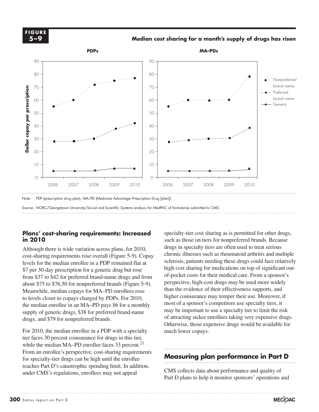![](_page_19_Picture_0.jpeg)

**Median cost sharing for a month's supply of drugs has risen Median cost sharing... FIGURE**

![](_page_19_Figure_2.jpeg)

Note: PDP (prescription drug plan), MA–PD (Medicare Advantage–Prescription Drug [plan]).

#### **Plans' cost-sharing requirements: Increased in 2010**

Although there is wide variation across plans, for 2010, cost-sharing requirements rose overall (Figure 5-9). Copay levels for the median enrollee in a PDP remained flat at \$7 per 30-day prescription for a generic drug but rose from \$37 to \$42 for preferred brand-name drugs and from about \$75 to \$76.50 for nonpreferred brands (Figure 5-9). **Meanwhile, median copays for MA–PD enrollees rose** to levels closer to copays charged by PDPs. For  $2010$ , higher coin the median enrollee in an MA–PD pays \$6 for a monthly ne median emonee in an MA-PD pays so for a month<br>supply of generic drugs, \$38 for preferred brand-name drugs, and \$79 for nonpreferred brands.

For 2010, the median enrollee in a PDP with a specialty tier faces 30 percent coinsurance for drugs in this tier, while the median MA–PD enrollee faces  $33$  percent.<sup>23</sup> From an enrollee's perspective, cost-sharing requirements for specialty-tier drugs can be high until the enrollee reaches Part D's catastrophic spending limit. In addition, under CMS's regulations, enrollees may not appeal

specialty-tier cost sharing as is permitted for other drugs, such as those on tiers for nonpreferred brands. Because drugs in specialty tiers are often used to treat serious chronic illnesses such as rheumatoid arthritis and multiple sclerosis, patients needing these drugs could face relatively high cost sharing for medications on top of significant outof-pocket costs for their medical care. From a sponsor's perspective, high-cost drugs may be used more widely than the evidence of their effectiveness supports, and higher coinsurance may temper their use. Moreover, if most of a sponsor's competitors use specialty tiers, it may be important to use a specialty tier to limit the risk and \$79 for nonpreferred brands. of attracting sicker enrollees taking very expensive drugs. Otherwise, those expensive drugs would be available for  $\frac{10}{10}$  the modification to  $\frac{1}{10}$ much lower copays. e and the set of  $\mathbf{e}$  $2v$ Generic 5 5 5 5 6 Preferred brand 26.7 29 30 30 38

## **Measuring plan performance in Part D**

CMS collects data about performance and quality of Part D plans to help it monitor sponsors' operations and

enter de la provincia de la provincia de la provincia de la provincia de la provincia de la provincia de la pr<br>Portugal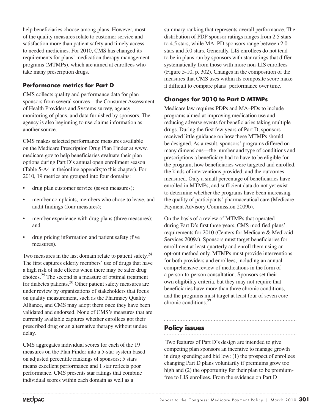help beneficiaries choose among plans. However, most of the quality measures relate to customer service and satisfaction more than patient safety and timely access to needed medicines. For 2010, CMS has changed its requirements for plans' medication therapy management programs (MTMPs), which are aimed at enrollees who take many prescription drugs.

## **Performance metrics for Part D**

CMS collects quality and performance data for plan sponsors from several sources—the Consumer Assessment of Health Providers and Systems survey, agency monitoring of plans, and data furnished by sponsors. The agency is also beginning to use claims information as another source.

CMS makes selected performance measures available on the Medicare Prescription Drug Plan Finder at www. medicare.gov to help beneficiaries evaluate their plan options during Part D's annual open enrollment season (Table 5-A4 in the [online appendix](http://medpac.gov/chapters/Mar10_Ch05_APPENDIX.pdf) to this chapter). For 2010, 19 metrics are grouped into four domains:

- drug plan customer service (seven measures);
- member complaints, members who chose to leave, and audit findings (four measures);
- member experience with drug plans (three measures); and
- drug pricing information and patient safety (five measures).

Two measures in the last domain relate to patient safety.<sup>24</sup> The first captures elderly members' use of drugs that have a high risk of side effects when there may be safer drug choices.25 The second is a measure of optimal treatment for diabetes patients.26 Other patient safety measures are under review by organizations of stakeholders that focus on quality measurement, such as the Pharmacy Quality Alliance, and CMS may adopt them once they have been validated and endorsed. None of CMS's measures that are currently available captures whether enrollees got their prescribed drug or an alternative therapy without undue delay.

CMS aggregates individual scores for each of the 19 measures on the Plan Finder into a 5-star system based on adjusted percentile rankings of sponsors; 5 stars means excellent performance and 1 star reflects poor performance. CMS presents star ratings that combine individual scores within each domain as well as a

summary ranking that represents overall performance. The distribution of PDP sponsor ratings ranges from 2.5 stars to 4.5 stars, while MA–PD sponsors range between 2.0 stars and 5.0 stars. Generally, LIS enrollees do not tend to be in plans run by sponsors with star ratings that differ systematically from those with more non-LIS enrollees (Figure 5-10, p. 302). Changes in the composition of the measures that CMS uses within its composite score make it difficult to compare plans' performance over time.

## **Changes for 2010 to Part D MTMPs**

Medicare law requires PDPs and MA–PDs to include programs aimed at improving medication use and reducing adverse events for beneficiaries taking multiple drugs. During the first few years of Part D, sponsors received little guidance on how these MTMPs should be designed. As a result, sponsors' programs differed on many dimensions—the number and type of conditions and prescriptions a beneficiary had to have to be eligible for the program, how beneficiaries were targeted and enrolled, the kinds of interventions provided, and the outcomes measured. Only a small percentage of beneficiaries have enrolled in MTMPs, and sufficient data do not yet exist to determine whether the programs have been increasing the quality of participants' pharmaceutical care (Medicare Payment Advisory Commission 2009b).

On the basis of a review of MTMPs that operated during Part D's first three years, CMS modified plans' requirements for 2010 (Centers for Medicare & Medicaid Services 2009c). Sponsors must target beneficiaries for enrollment at least quarterly and enroll them using an opt-out method only. MTMPs must provide interventions for both providers and enrollees, including an annual comprehensive review of medications in the form of a person-to-person consultation. Sponsors set their own eligibility criteria, but they may not require that beneficiaries have more than three chronic conditions, and the programs must target at least four of seven core chronic conditions.27

## **Policy issues**

 Two features of Part D's design are intended to give competing plan sponsors an incentive to manage growth in drug spending and bid low: (1) the prospect of enrollees changing Part D plans voluntarily if premiums grow too high and (2) the opportunity for their plan to be premiumfree to LIS enrollees. From the evidence on Part D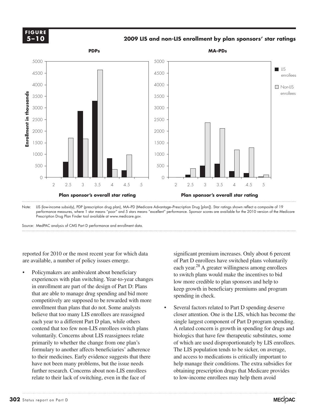**2009 LIS and non-LIS enrollment by plan sponsors' star ratings POPE**<br>**PDP** enterpreted the contract of the contract of the contract of the contract of the contract of the contract of

![](_page_21_Figure_2.jpeg)

Note: LIS (low-income subsidy), PDP (prescription drug plan), MA–PD (Medicare Advantage–Prescription Drug [plan]). Star ratings shown reflect a composite of 19 performance measures, where 1 star means "poor" and 5 stars means "excellent" performance. Sponsor scores are available for the 2010 version of the Medicare Prescription Drug Plan Finder tool available at www.medicare.gov.

reported for 2010 or the most recent year for which data are available, a number of policy issues emerge.

• Policymakers are ambivalent about beneficiary experiences with plan switching. Year-to-year changes in enrollment are part of the design of Part D: Plans that are able to manage drug spending and bid more competitively are supposed to be rewarded with more enrollment than plans that do not. Some analysts believe that too many LIS enrollees are reassigned each year to a different Part D plan, while others contend that too few non-LIS enrollees switch plans voluntarily. Concerns about LIS reassignees relate primarily to whether the change from one plan's formulary to another affects beneficiaries' adherence to their medicines. Early evidence suggests that there have not been many problems, but the issue needs further research. Concerns about non-LIS enrollees relate to their lack of switching, even in the face of

significant premium increases. Only about 6 percent of Part D enrollees have switched plans voluntarily  $e^{\frac{28}{2}}$  A greater willingness among enrollees to switch plans would make the incentives to bid low more credible to plan sponsors and help to keep growth in beneficiary premiums and program spending in check. Less among emonces

Several factors related to Part D spending deserve Filieve that too many LIS enrollees are reassigned<br>
• I had to manually draw tick manually draw tickets when I changed any data they kept reserve they kept reserve they kept resetting when I changed any data. single largest component of Part D program spending. ntend that too few non-LIS enrollees switch plans A related concern is growth in spending for drugs and biologics that have few therapeutic substitutes, some of which are used disproportionately by LIS enrollees. The LIS population tends to be sicker, on average, and access to medications is critically important to help manage their conditions. The extra subsidies for obtaining prescription drugs that Medicare provides to low-income enrollees may help them avoid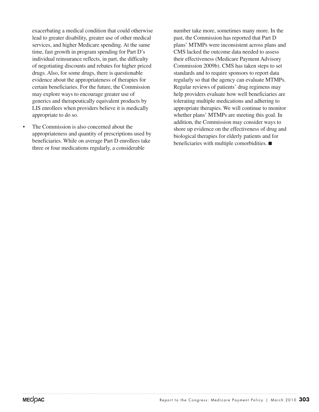exacerbating a medical condition that could otherwise lead to greater disability, greater use of other medical services, and higher Medicare spending. At the same time, fast growth in program spending for Part D's individual reinsurance reflects, in part, the difficulty of negotiating discounts and rebates for higher priced drugs. Also, for some drugs, there is questionable evidence about the appropriateness of therapies for certain beneficiaries. For the future, the Commission may explore ways to encourage greater use of generics and therapeutically equivalent products by LIS enrollees when providers believe it is medically appropriate to do so.

• The Commission is also concerned about the appropriateness and quantity of prescriptions used by beneficiaries. While on average Part D enrollees take three or four medications regularly, a considerable

number take more, sometimes many more. In the past, the Commission has reported that Part D plans' MTMPs were inconsistent across plans and CMS lacked the outcome data needed to assess their effectiveness (Medicare Payment Advisory Commission 2009b). CMS has taken steps to set standards and to require sponsors to report data regularly so that the agency can evaluate MTMPs. Regular reviews of patients' drug regimens may help providers evaluate how well beneficiaries are tolerating multiple medications and adhering to appropriate therapies. We will continue to monitor whether plans' MTMPs are meeting this goal. In addition, the Commission may consider ways to shore up evidence on the effectiveness of drug and biological therapies for elderly patients and for beneficiaries with multiple comorbidities. ■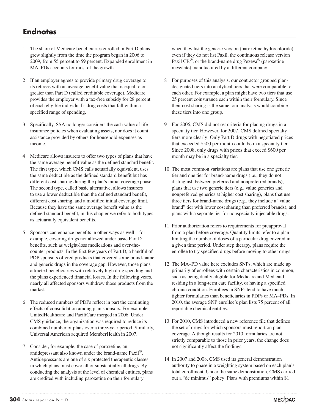# **Endnotes**

- 1 The share of Medicare beneficiaries enrolled in Part D plans grew slightly from the time the program began in 2006 to 2009, from 55 percent to 59 percent. Expanded enrollment in MA–PDs accounts for most of the growth.
- 2 If an employer agrees to provide primary drug coverage to its retirees with an average benefit value that is equal to or greater than Part D (called creditable coverage), Medicare provides the employer with a tax-free subsidy for 28 percent of each eligible individual's drug costs that fall within a specified range of spending.
- 3 Specifically, SSA no longer considers the cash value of life insurance policies when evaluating assets, nor does it count assistance provided by others for household expenses as income.
- 4 Medicare allows insurers to offer two types of plans that have the same average benefit value as the defined standard benefit. The first type, which CMS calls actuarially equivalent, uses the same deductible as the defined standard benefit but has different cost sharing during the plan's initial coverage phase. The second type, called basic alternative, allows insurers to use a lower deductible than the defined standard benefit, different cost sharing, and a modified initial coverage limit. Because they have the same average benefit value as the defined standard benefit, in this chapter we refer to both types as actuarially equivalent benefits.
- 5 Sponsors can enhance benefits in other ways as well—for example, covering drugs not allowed under basic Part D benefits, such as weight-loss medications and over-thecounter products. In the first few years of Part D, a handful of PDP sponsors offered products that covered some brand-name and generic drugs in the coverage gap. However, those plans attracted beneficiaries with relatively high drug spending and the plans experienced financial losses. In the following years, nearly all affected sponsors withdrew those products from the market.
- 6 The reduced numbers of PDPs reflect in part the continuing effects of consolidation among plan sponsors. For example, UnitedHealthcare and PacifiCare merged in 2006. Under CMS guidance, the organization was required to reduce its combined number of plans over a three-year period. Similarly, Universal American acquired MemberHealth in 2007.
- 7 Consider, for example, the case of paroxetine, an antidepressant also known under the brand-name Paxil®. Antidepressants are one of six protected therapeutic classes in which plans must cover all or substantially all drugs. By conducting the analysis at the level of chemical entities, plans are credited with including paroxetine on their formulary

when they list the generic version (paroxetine hydrochloride), even if they do not list Paxil, the continuous release version Paxil  $CR^{\circledR}$ , or the brand-name drug Pexeva<sup>®</sup> (paroxetine mesylate) manufactured by a different company.

- 8 For purposes of this analysis, our contractor grouped plandesignated tiers into analytical tiers that were comparable to each other. For example, a plan might have two tiers that use 25 percent coinsurance each within their formulary. Since their cost sharing is the same, our analysis would combine these tiers into one group.
- 9 For 2006, CMS did not set criteria for placing drugs in a specialty tier. However, for 2007, CMS defined specialty tiers more clearly: Only Part D drugs with negotiated prices that exceeded \$500 per month could be in a specialty tier. Since 2008, only drugs with prices that exceed \$600 per month may be in a specialty tier.
- 10 The most common variations are plans that use one generic tier and one tier for brand-name drugs (i.e., they do not distinguish between preferred and nonpreferred brands), plans that use two generic tiers (e.g., value generics and nonpreferred generics at higher cost sharing), plans that use three tiers for brand-name drugs (e.g., they include a "value brand" tier with lower cost sharing than preferred brands), and plans with a separate tier for nonspecialty injectable drugs.
- 11 Prior authorization refers to requirements for preapproval from a plan before coverage. Quantity limits refer to a plan limiting the number of doses of a particular drug covered in a given time period. Under step therapy, plans require the enrollee to try specified drugs before moving to other drugs.
- 12 The MA–PD value here excludes SNPs, which are made up primarily of enrollees with certain characteristics in common, such as being dually eligible for Medicare and Medicaid, residing in a long-term care facility, or having a specified chronic condition. Enrollees in SNPs tend to have much tighter formularies than beneficiaries in PDPs or MA–PDs. In 2010, the average SNP enrollee's plan lists 75 percent of all reportable chemical entities.
- 13 For 2010, CMS introduced a new reference file that defines the set of drugs for which sponsors must report on plan coverage. Although results for 2010 formularies are not strictly comparable to those in prior years, the change does not significantly affect the findings.
- 14 In 2007 and 2008, CMS used its general demonstration authority to phase in a weighting system based on each plan's total enrollment. Under the same demonstration, CMS carried out a "de minimus" policy: Plans with premiums within \$1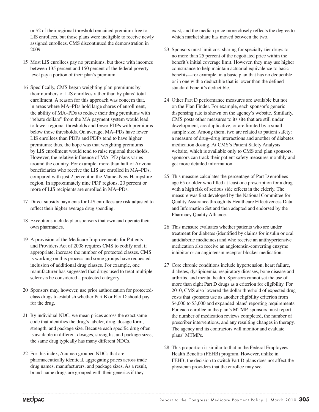or \$2 of their regional threshold remained premium-free to LIS enrollees, but those plans were ineligible to receive newly assigned enrollees. CMS discontinued the demonstration in 2009.

- 15 Most LIS enrollees pay no premiums, but those with incomes between 135 percent and 150 percent of the federal poverty level pay a portion of their plan's premium.
- 16 Specifically, CMS began weighting plan premiums by their numbers of LIS enrollees rather than by plans' total enrollment. A reason for this approach was concern that, in areas where MA–PDs hold large shares of enrollment, the ability of MA–PDs to reduce their drug premiums with "rebate dollars" from the MA payment system would lead to lower regional thresholds and fewer PDPs with premiums below those thresholds. On average, MA–PDs have fewer LIS enrollees than PDPs and PDPs tend to have higher premiums; thus, the hope was that weighting premiums by LIS enrollment would tend to raise regional thresholds. However, the relative influence of MA–PD plans varies around the country. For example, more than half of Arizona beneficiaries who receive the LIS are enrolled in MA–PDs, compared with just 2 percent in the Maine–New Hampshire region. In approximately nine PDP regions, 20 percent or more of LIS recipients are enrolled in MA–PDs.
- 17 Direct subsidy payments for LIS enrollees are risk adjusted to reflect their higher average drug spending.
- 18 Exceptions include plan sponsors that own and operate their own pharmacies.
- 19 A provision of the Medicare Improvements for Patients and Providers Act of 2008 requires CMS to codify and, if appropriate, increase the number of protected classes. CMS is working on this process and some groups have requested inclusion of additional drug classes. For example, one manufacturer has suggested that drugs used to treat multiple sclerosis be considered a protected category.
- 20 Sponsors may, however, use prior authorization for protectedclass drugs to establish whether Part B or Part D should pay for the drug.
- 21 By individual NDC, we mean prices across the exact same code that identifies the drug's labeler, drug, dosage form, strength, and package size. Because each specific drug often is available in different dosages, strengths, and package sizes, the same drug typically has many different NDCs.
- 22 For this index, Acumen grouped NDCs that are pharmaceutically identical, aggregating prices across trade drug names, manufacturers, and package sizes. As a result, brand-name drugs are grouped with their generics if they

exist, and the median price more closely reflects the degree to which market share has moved between the two.

- 23 Sponsors must limit cost sharing for specialty-tier drugs to no more than 25 percent of the negotiated price within the benefit's initial coverage limit. However, they may use higher coinsurance to help maintain actuarial equivalence to basic benefits—for example, in a basic plan that has no deductible or in one with a deductible that is lower than the defined standard benefit's deductible.
- 24 Other Part D performance measures are available but not on the Plan Finder. For example, each sponsor's generic dispensing rate is shown on the agency's website. Similarly, CMS posts other measures to its site that are still under development, are duplicative, or are limited by a small sample size. Among them, two are related to patient safety: a measure of drug–drug interactions and another of diabetes medication dosing. At CMS's Patient Safety Analysis website, which is available only to CMS and plan sponsors, sponsors can track their patient safety measures monthly and get more detailed information.
- 25 This measure calculates the percentage of Part D enrollees age 65 or older who filled at least one prescription for a drug with a high risk of serious side effects in the elderly. The measure was first developed by the National Committee for Quality Assurance through its Healthcare Effectiveness Data and Information Set and then adapted and endorsed by the Pharmacy Quality Alliance.
- 26 This measure evaluates whether patients who are under treatment for diabetes (identified by claims for insulin or oral antidiabetic medicines) and who receive an antihypertensive medication also receive an angiotensin-converting enzyme inhibitor or an angiotensin receptor blocker medication.
- 27 Core chronic conditions include hypertension, heart failure, diabetes, dyslipidemia, respiratory diseases, bone disease and arthritis, and mental health. Sponsors cannot set the use of more than eight Part D drugs as a criterion for eligibility. For 2010, CMS also lowered the dollar threshold of expected drug costs that sponsors use as another eligibility criterion from \$4,000 to \$3,000 and expanded plans' reporting requirements. For each enrollee in the plan's MTMP, sponsors must report the number of medication reviews completed, the number of prescriber interventions, and any resulting changes in therapy. The agency and its contractors will monitor and evaluate plans' MTMPs.
- 28 This proportion is similar to that in the Federal Employees Health Benefits (FEHB) program. However, unlike in FEHB, the decision to switch Part D plans does not affect the physician providers that the enrollee may see.